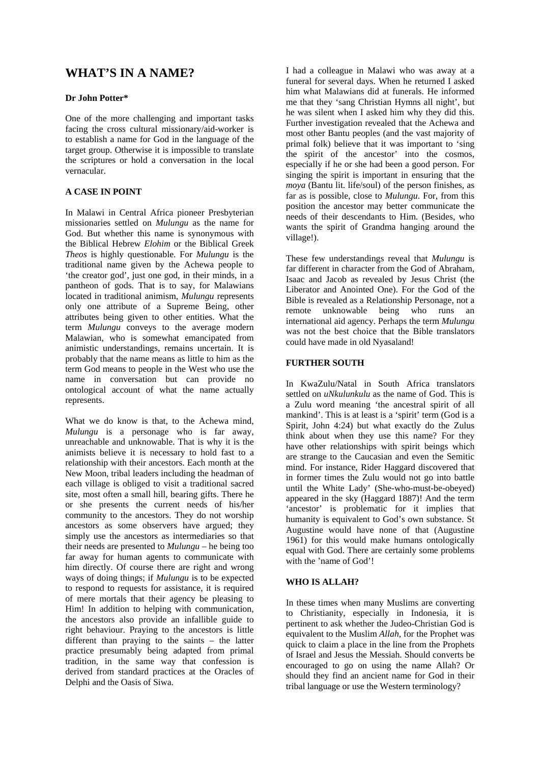# **WHAT'S IN A NAME?**

## **Dr John Potter\***

One of the more challenging and important tasks facing the cross cultural missionary/aid-worker is to establish a name for God in the language of the target group. Otherwise it is impossible to translate the scriptures or hold a conversation in the local vernacular.

# **A CASE IN POINT**

In Malawi in Central Africa pioneer Presbyterian missionaries settled on *Mulungu* as the name for God. But whether this name is synonymous with the Biblical Hebrew *Elohim* or the Biblical Greek *Theos* is highly questionable. For *Mulungu* is the traditional name given by the Achewa people to 'the creator god', just one god, in their minds, in a pantheon of gods. That is to say, for Malawians located in traditional animism, *Mulungu* represents only one attribute of a Supreme Being, other attributes being given to other entities. What the term *Mulungu* conveys to the average modern Malawian, who is somewhat emancipated from animistic understandings, remains uncertain. It is probably that the name means as little to him as the term God means to people in the West who use the name in conversation but can provide no ontological account of what the name actually represents.

What we do know is that, to the Achewa mind, *Mulungu* is a personage who is far away, unreachable and unknowable. That is why it is the animists believe it is necessary to hold fast to a relationship with their ancestors. Each month at the New Moon, tribal leaders including the headman of each village is obliged to visit a traditional sacred site, most often a small hill, bearing gifts. There he or she presents the current needs of his/her community to the ancestors. They do not worship ancestors as some observers have argued; they simply use the ancestors as intermediaries so that their needs are presented to *Mulungu* – he being too far away for human agents to communicate with him directly. Of course there are right and wrong ways of doing things; if *Mulungu* is to be expected to respond to requests for assistance, it is required of mere mortals that their agency be pleasing to Him! In addition to helping with communication, the ancestors also provide an infallible guide to right behaviour. Praying to the ancestors is little different than praying to the saints – the latter practice presumably being adapted from primal tradition, in the same way that confession is derived from standard practices at the Oracles of Delphi and the Oasis of Siwa.

I had a colleague in Malawi who was away at a funeral for several days. When he returned I asked him what Malawians did at funerals. He informed me that they 'sang Christian Hymns all night', but he was silent when I asked him why they did this. Further investigation revealed that the Achewa and most other Bantu peoples (and the vast majority of primal folk) believe that it was important to 'sing the spirit of the ancestor' into the cosmos, especially if he or she had been a good person. For singing the spirit is important in ensuring that the *moya* (Bantu lit. life/soul) of the person finishes, as far as is possible, close to *Mulungu*. For, from this position the ancestor may better communicate the needs of their descendants to Him. (Besides, who wants the spirit of Grandma hanging around the village!).

These few understandings reveal that *Mulungu* is far different in character from the God of Abraham, Isaac and Jacob as revealed by Jesus Christ (the Liberator and Anointed One). For the God of the Bible is revealed as a Relationship Personage, not a remote unknowable being who runs an international aid agency. Perhaps the term *Mulungu* was not the best choice that the Bible translators could have made in old Nyasaland!

# **FURTHER SOUTH**

In KwaZulu/Natal in South Africa translators settled on *uNkulunkulu* as the name of God. This is a Zulu word meaning 'the ancestral spirit of all mankind'. This is at least is a 'spirit' term (God is a Spirit, John 4:24) but what exactly do the Zulus think about when they use this name? For they have other relationships with spirit beings which are strange to the Caucasian and even the Semitic mind. For instance, Rider Haggard discovered that in former times the Zulu would not go into battle until the White Lady' (She-who-must-be-obeyed) appeared in the sky (Haggard 1887)! And the term 'ancestor' is problematic for it implies that humanity is equivalent to God's own substance. St Augustine would have none of that (Augustine 1961) for this would make humans ontologically equal with God. There are certainly some problems with the 'name of God'!

## **WHO IS ALLAH?**

In these times when many Muslims are converting to Christianity, especially in Indonesia, it is pertinent to ask whether the Judeo-Christian God is equivalent to the Muslim *Allah*, for the Prophet was quick to claim a place in the line from the Prophets of Israel and Jesus the Messiah. Should converts be encouraged to go on using the name Allah? Or should they find an ancient name for God in their tribal language or use the Western terminology?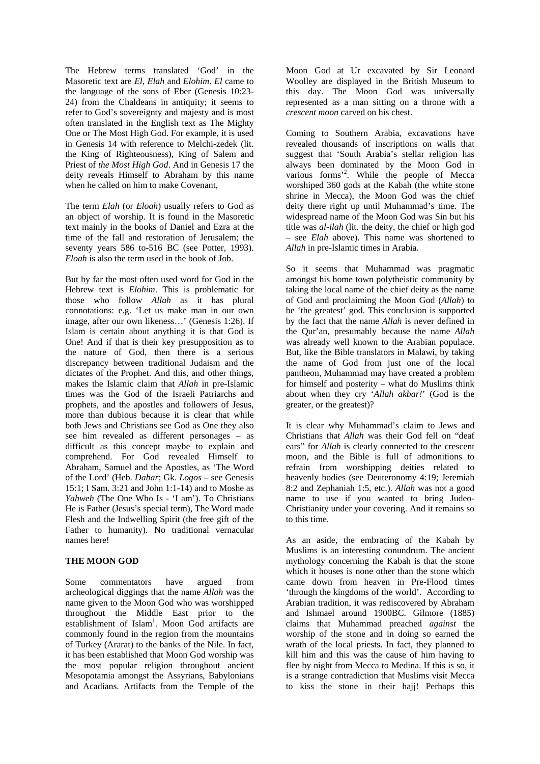The Hebrew terms translated 'God' in the Masoretic text are *El*, *Elah* and *Elohim*. *El* came to the language of the sons of Eber (Genesis 10:23- 24) from the Chaldeans in antiquity; it seems to refer to God's sovereignty and majesty and is most often translated in the English text as The Mighty One or The Most High God. For example, it is used in Genesis 14 with reference to Melchi-zedek (lit. the King of Righteousness), King of Salem and Priest of *the Most High God*. And in Genesis 17 the deity reveals Himself to Abraham by this name when he called on him to make Covenant,

The term *Elah* (or *Eloah*) usually refers to God as an object of worship. It is found in the Masoretic text mainly in the books of Daniel and Ezra at the time of the fall and restoration of Jerusalem; the seventy years 586 to-516 BC (see Potter, 1993). *Eloah* is also the term used in the book of Job.

But by far the most often used word for God in the Hebrew text is *Elohim*. This is problematic for those who follow *Allah* as it has plural connotations: e.g. 'Let us make man in our own image, after our own likeness…' (Genesis 1:26). If Islam is certain about anything it is that God is One! And if that is their key presupposition as to the nature of God, then there is a serious discrepancy between traditional Judaism and the dictates of the Prophet. And this, and other things, makes the Islamic claim that *Allah* in pre-Islamic times was the God of the Israeli Patriarchs and prophets, and the apostles and followers of Jesus, more than dubious because it is clear that while both Jews and Christians see God as One they also see him revealed as different personages – as difficult as this concept maybe to explain and comprehend. For God revealed Himself to Abraham, Samuel and the Apostles, as 'The Word of the Lord' (Heb. *Dabar*; Gk. *Logos* – see Genesis 15:1; I Sam. 3:21 and John 1:1-14) and to Moshe as *Yahweh* (The One Who Is - 'I am'). To Christians He is Father (Jesus's special term), The Word made Flesh and the Indwelling Spirit (the free gift of the Father to humanity). No traditional vernacular names here!

# **THE MOON GOD**

Some commentators have argued from archeological diggings that the name *Allah* was the name given to the Moon God who was worshipped throughout the Middle East prior to the establishment of Islam<sup>1</sup>. Moon God artifacts are commonly found in the region from the mountains of Turkey (Ararat) to the banks of the Nile. In fact, it has been established that Moon God worship was the most popular religion throughout ancient Mesopotamia amongst the Assyrians, Babylonians and Acadians. Artifacts from the Temple of the Moon God at Ur excavated by Sir Leonard Woolley are displayed in the British Museum to this day. The Moon God was universally represented as a man sitting on a throne with a *crescent moon* carved on his chest.

Coming to Southern Arabia, excavations have revealed thousands of inscriptions on walls that suggest that 'South Arabia's stellar religion has always been dominated by the Moon God in various forms'<sup>2</sup>. While the people of Mecca worshiped 360 gods at the Kabah (the white stone shrine in Mecca), the Moon God was the chief deity there right up until Muhammad's time. The widespread name of the Moon God was Sin but his title was *al-ilah* (lit. the deity, the chief or high god – see *Elah* above). This name was shortened to *Allah* in pre-Islamic times in Arabia.

So it seems that Muhammad was pragmatic amongst his home town polytheistic community by taking the local name of the chief deity as the name of God and proclaiming the Moon God (*Allah*) to be 'the greatest' god. This conclusion is supported by the fact that the name *Allah* is never defined in the Qur'an, presumably because the name *Allah* was already well known to the Arabian populace. But, like the Bible translators in Malawi, by taking the name of God from just one of the local pantheon, Muhammad may have created a problem for himself and posterity – what do Muslims think about when they cry '*Allah akbar!*' (God is the greater, or the greatest)?

It is clear why Muhammad's claim to Jews and Christians that *Allah* was their God fell on "deaf ears" for *Allah* is clearly connected to the crescent moon, and the Bible is full of admonitions to refrain from worshipping deities related to heavenly bodies (see Deuteronomy 4:19; Jeremiah 8:2 and Zephaniah 1:5, etc.). *Allah* was not a good name to use if you wanted to bring Judeo-Christianity under your covering. And it remains so to this time.

As an aside, the embracing of the Kabah by Muslims is an interesting conundrum. The ancient mythology concerning the Kabah is that the stone which it houses is none other than the stone which came down from heaven in Pre-Flood times 'through the kingdoms of the world'. According to Arabian tradition, it was rediscovered by Abraham and Ishmael around 1900BC. Gilmore (1885) claims that Muhammad preached *against* the worship of the stone and in doing so earned the wrath of the local priests. In fact, they planned to kill him and this was the cause of him having to flee by night from Mecca to Medina. If this is so, it is a strange contradiction that Muslims visit Mecca to kiss the stone in their hajj! Perhaps this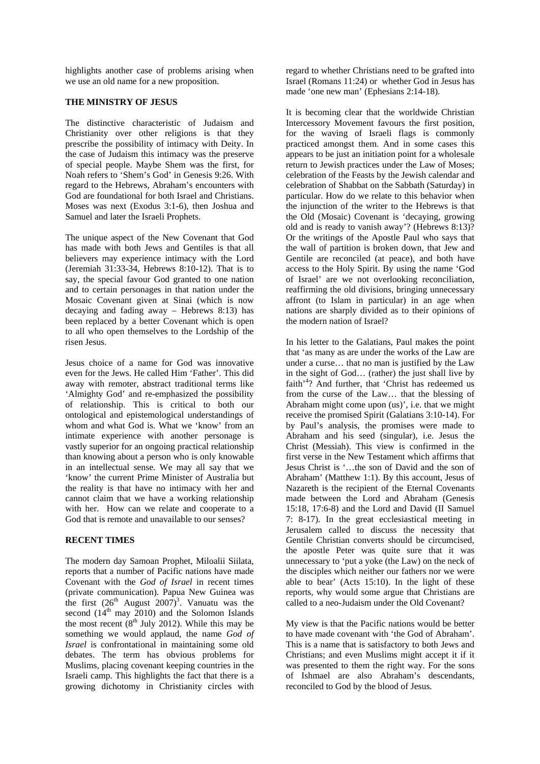highlights another case of problems arising when we use an old name for a new proposition.

#### **THE MINISTRY OF JESUS**

The distinctive characteristic of Judaism and Christianity over other religions is that they prescribe the possibility of intimacy with Deity. In the case of Judaism this intimacy was the preserve of special people. Maybe Shem was the first, for Noah refers to 'Shem's God' in Genesis 9:26. With regard to the Hebrews, Abraham's encounters with God are foundational for both Israel and Christians. Moses was next (Exodus 3:1-6), then Joshua and Samuel and later the Israeli Prophets.

The unique aspect of the New Covenant that God has made with both Jews and Gentiles is that all believers may experience intimacy with the Lord (Jeremiah 31:33-34, Hebrews 8:10-12). That is to say, the special favour God granted to one nation and to certain personages in that nation under the Mosaic Covenant given at Sinai (which is now decaying and fading away – Hebrews 8:13) has been replaced by a better Covenant which is open to all who open themselves to the Lordship of the risen Jesus.

Jesus choice of a name for God was innovative even for the Jews. He called Him 'Father'. This did away with remoter, abstract traditional terms like 'Almighty God' and re-emphasized the possibility of relationship. This is critical to both our ontological and epistemological understandings of whom and what God is. What we 'know' from an intimate experience with another personage is vastly superior for an ongoing practical relationship than knowing about a person who is only knowable in an intellectual sense. We may all say that we 'know' the current Prime Minister of Australia but the reality is that have no intimacy with her and cannot claim that we have a working relationship with her. How can we relate and cooperate to a God that is remote and unavailable to our senses?

## **RECENT TIMES**

The modern day Samoan Prophet, Miloalii Siilata, reports that a number of Pacific nations have made Covenant with the *God of Israel* in recent times (private communication). Papua New Guinea was the first  $(26<sup>th</sup>$  August  $2007)<sup>3</sup>$ . Vanuatu was the second  $(14<sup>th</sup>$  may 2010) and the Solomon Islands the most recent  $(8<sup>th</sup>$  July 2012). While this may be something we would applaud, the name *God of Israel* is confrontational in maintaining some old debates. The term has obvious problems for Muslims, placing covenant keeping countries in the Israeli camp. This highlights the fact that there is a growing dichotomy in Christianity circles with

regard to whether Christians need to be grafted into Israel (Romans 11:24) or whether God in Jesus has made 'one new man' (Ephesians 2:14-18).

It is becoming clear that the worldwide Christian Intercessory Movement favours the first position, for the waving of Israeli flags is commonly practiced amongst them. And in some cases this appears to be just an initiation point for a wholesale return to Jewish practices under the Law of Moses; celebration of the Feasts by the Jewish calendar and celebration of Shabbat on the Sabbath (Saturday) in particular. How do we relate to this behavior when the injunction of the writer to the Hebrews is that the Old (Mosaic) Covenant is 'decaying, growing old and is ready to vanish away'? (Hebrews 8:13)? Or the writings of the Apostle Paul who says that the wall of partition is broken down, that Jew and Gentile are reconciled (at peace), and both have access to the Holy Spirit. By using the name 'God of Israel' are we not overlooking reconciliation, reaffirming the old divisions, bringing unnecessary affront (to Islam in particular) in an age when nations are sharply divided as to their opinions of the modern nation of Israel?

In his letter to the Galatians, Paul makes the point that 'as many as are under the works of the Law are under a curse… that no man is justified by the Law in the sight of God… (rather) the just shall live by faith<sup>'4</sup>? And further, that 'Christ has redeemed us from the curse of the Law… that the blessing of Abraham might come upon (us)', i.e. that we might receive the promised Spirit (Galatians 3:10-14). For by Paul's analysis, the promises were made to Abraham and his seed (singular), i.e. Jesus the Christ (Messiah). This view is confirmed in the first verse in the New Testament which affirms that Jesus Christ is '…the son of David and the son of Abraham' (Matthew 1:1). By this account, Jesus of Nazareth is the recipient of the Eternal Covenants made between the Lord and Abraham (Genesis 15:18, 17:6-8) and the Lord and David (II Samuel 7: 8-17). In the great ecclesiastical meeting in Jerusalem called to discuss the necessity that Gentile Christian converts should be circumcised, the apostle Peter was quite sure that it was unnecessary to 'put a yoke (the Law) on the neck of the disciples which neither our fathers nor we were able to bear' (Acts 15:10). In the light of these reports, why would some argue that Christians are called to a neo-Judaism under the Old Covenant?

My view is that the Pacific nations would be better to have made covenant with 'the God of Abraham'. This is a name that is satisfactory to both Jews and Christians; and even Muslims might accept it if it was presented to them the right way. For the sons of Ishmael are also Abraham's descendants, reconciled to God by the blood of Jesus.